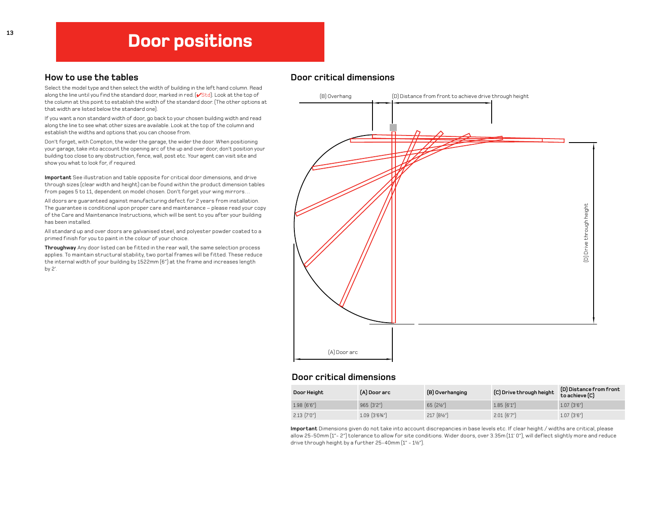# Door positions

# How to use the tables

Select the model type and then select the width of building in the left hand column. Read along the line until you find the standard door, marked in red. (**VStd**). Look at the top of the column at this point to establish the width of the standard door. (The other options at that width are listed below the standard one).

If you want a non standard width of door, go back to your chosen building width and read along the line to see what other sizes are available. Look at the top of the column and establish the widths and options that you can choose from.

Don't forget, with Compton, the wider the garage, the wider the door. When positioning your garage, take into account the opening arc of the up and over door, don't position your building too close to any obstruction, fence, wall, post etc. Your agent can visit site and show you what to look for, if required.

**Important** See illustration and table opposite for critical door dimensions, and drive through sizes (clear width and height) can be found within the product dimension tables from pages 5 to 11, dependent on model chosen. Don't forget your wing mirrors…

All doors are guaranteed against manufacturing defect for 2 years from installation. The guarantee is conditional upon proper care and maintenance – please read your copy of the Care and Maintenance Instructions, which will be sent to you after your building has been installed.

All standard up and over doors are galvanised steel, and polyester powder coated to a primed finish for you to paint in the colour of your choice.

Throughway Any door listed can be fitted in the rear wall, the same selection process applies. To maintain structural stability, two portal frames will be fitted. These reduce the internal width of your building by 1522mm (6") at the frame and increases length by 2'.

# Door critical dimensions



## Door critical dimensions

| Door Height      | (A) Door arc                | (B) Overhanging         | (C) Drive through height | (D) Distance from front<br>to achieve (C) |
|------------------|-----------------------------|-------------------------|--------------------------|-------------------------------------------|
| $1.98$ $(6'6'')$ | $965$ $(3'2'')$             | $65$ $(2\frac{1}{2}\%)$ | $1.85$ $(6'1'')$         | $1.07$ $(3'6'')$                          |
| $2.13$ $(7'0'')$ | $1.09$ $(3'6\frac{3}{4}'')$ | 217 (81/2")             | $2.01$ $(6'7'')$         | $1.07$ $(3'6'')$                          |

**Important** Dimensions given do not take into account discrepancies in base levels etc. If clear height / widths are critical, please allow 25-50mm (1"- 2") tolerance to allow for site conditions. Wider doors, over 3.35m (11' 0"), will deflect slightly more and reduce drive through height by <sup>a</sup> further 25-40mm (1"- 1½").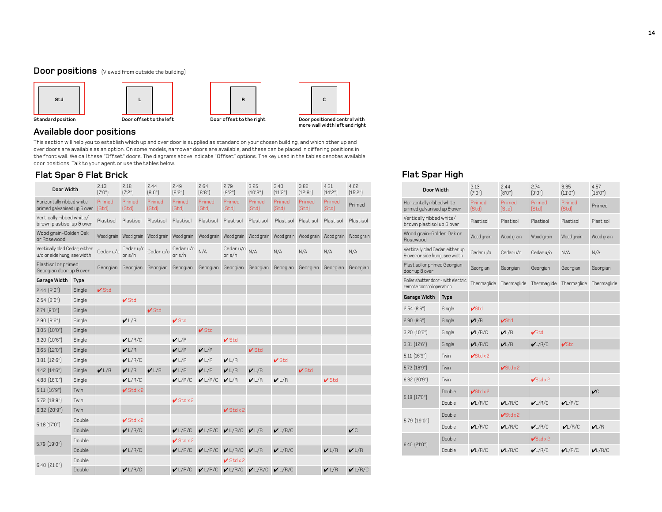### Door positions (Viewed from outside the building)



# Available door positions

This section will help you to establish which up and over door is supplied as standard on your chosen building, and which other up and over doors are available as an option. On some models, narrower doors are available, and these can be placed in differing positions in the front wall. We call these "Offset" doors. The diagrams above indicate "Offset" options. The key used in the tables denotes available door positions.Talk to your agent or use the tables below.

# Flat Spar & Flat Brick Flat Spar High

| Door Width                                                   |             | 2.13<br>(7'0'')  | 2.18<br>(7'2'')      | 2.44<br>(8,0,1)  | 2.49<br>(8'2")      | 2.64<br>(8, 8, 0) | 2.79<br>(9'2")       | 3.25<br>(10, 8)  | 3.40<br>(11'2")  | 3.86<br>[12'8"]  | 4.31<br>[14'2"]  | 4.62<br>(15'2") |
|--------------------------------------------------------------|-------------|------------------|----------------------|------------------|---------------------|-------------------|----------------------|------------------|------------------|------------------|------------------|-----------------|
| Horizontally ribbed white<br>primed galvanised up & over     |             | Primed<br>[Std]  | Primed<br>[Std]      | Primed<br>[Std]  | Primed<br>[Std]     | Primed<br>(Std)   | Primed<br>(Std)      | Primed<br>[Std]  | Primed<br>[Std]  | Primed<br>[Std]  | Primed<br>[Std]  | Primed          |
| Vertically ribbed white/<br>brown plastisol up & over        |             | Plastisol        | Plastisol            | Plastisol        | Plastisol           | Plastisol         | Plastisol            | Plastisol        | Plastisol        | Plastisol        | Plastisol        | Plastisol       |
| Wood grain-Golden Oak<br>or Rosewood                         |             | Wood grain       | Wood grain           | Wood grain       | Wood grain          | Wood grain        | Wood grain           | Wood grain       | Wood grain       | Wood grain       | Wood grain       | Wood grain      |
| Vertically clad Cedar, either<br>u/o or side hung, see width |             | Cedar u/o        | Cedar u/o<br>or s/h  | Cedar u/o        | Cedar u/o<br>or s/h | N/A               | Cedar u/o<br>or s/h  | N/A              | N/A              | N/A              | N/A              | N/A             |
| Plastisol or primed<br>Georgian door up & over               |             | Georgian         | Georgian             | Georgian         | Georgian            | Georgian          | Georgian             | Georgian         | Georgian         | Georgian         | Georgian         | Georgian        |
| Garage Width                                                 | <b>Type</b> |                  |                      |                  |                     |                   |                      |                  |                  |                  |                  |                 |
| 2.44 [8'0"]                                                  | Single      | $\checkmark$ Std |                      |                  |                     |                   |                      |                  |                  |                  |                  |                 |
| 2.54(8'6")                                                   | Single      |                  | $\checkmark$ Std     |                  |                     |                   |                      |                  |                  |                  |                  |                 |
| $2.74$ $(9'0'')$                                             | Single      |                  |                      | $\checkmark$ Std |                     |                   |                      |                  |                  |                  |                  |                 |
| $2.90$ $(9'6'')$                                             | Single      |                  | V L/R                |                  | $\mathbf{V}$ Std    |                   |                      |                  |                  |                  |                  |                 |
| $3.05$ $(10'0'')$                                            | Single      |                  |                      |                  |                     | $\checkmark$ Std  |                      |                  |                  |                  |                  |                 |
| $3.20$ $(10'6'')$                                            | Single      |                  | V L/R/C              |                  | V L/R               |                   | $\checkmark$ Std     |                  |                  |                  |                  |                 |
| $3.65$ $(12'0'')$                                            | Single      |                  | V L/R                |                  | V L/R               | V L/R             |                      | $\checkmark$ Std |                  |                  |                  |                 |
| $3.81$ $(12'6'')$                                            | Single      |                  | V L/R/C              |                  | V L/R               | V L/R             | VLR                  |                  | $\checkmark$ Std |                  |                  |                 |
| $4.42$ $[14'6'']$                                            | Single      | V L/R            | V L/R                | V L/R            | V L/R               | V L/R             | V L/R                | V L/R            |                  | $\checkmark$ Std |                  |                 |
| 4.88 (16'0")                                                 | Single      |                  | V L/R/C              |                  | V L/R/C             | V L/R/C           | VLR                  | V L/R            | VLR              |                  | $\checkmark$ Std |                 |
| $5.11$ $(16'9'')$                                            | Twin        |                  | $\checkmark$ Std x 2 |                  |                     |                   |                      |                  |                  |                  |                  |                 |
| $5.72$ $(18.9)$                                              | Twin        |                  |                      |                  | $V$ Stdx2           |                   |                      |                  |                  |                  |                  |                 |
| $6.32$ $(20.3)$                                              | Twin        |                  |                      |                  |                     |                   | $\checkmark$ Std x 2 |                  |                  |                  |                  |                 |
| 5.18(17'0'')                                                 | Double      |                  | $\checkmark$ Std x 2 |                  |                     |                   |                      |                  |                  |                  |                  |                 |
|                                                              | Double      |                  | V L/R/C              |                  | V L/R/C             | V L/R/C           | V L/R/C              | V L/R            | V L/R/C          |                  |                  | V C             |
| $5.79$ $(19'0'')$                                            | Double      |                  |                      |                  | $V$ Stdx2           |                   |                      |                  |                  |                  |                  |                 |
|                                                              | Double      |                  | V L/R/C              |                  | $V$ L/R/C           | V L/R/C           | V L/R/C              | V L/R            | V L/R/C          |                  | V L/R            | V L/R           |
| $6.40$ $(21'0'')$                                            | Double      |                  |                      |                  |                     |                   | $\checkmark$ Std x 2 |                  |                  |                  |                  |                 |
|                                                              | Double      |                  | V L/R/C              |                  | $V$ L/R/C           | V L/R/C           | V L/R/C              | V L/R/C          | V L/R/C          |                  | V L/R            | $V$ L/R/C       |

more wall width left and right

| Door Width                                                         |        | 2.13<br>(7'0'')              | 2.44<br>(8.0, )              | 2.74<br>(9'0'')              | 3.35<br>(11'0'')   | 4.57<br>(15'0'') |
|--------------------------------------------------------------------|--------|------------------------------|------------------------------|------------------------------|--------------------|------------------|
| Horizontally ribbed white<br>primed galvanised up & over           |        | Primed<br>[Std]              | Primed<br>[Std]              | Primed<br>[Std]              | Primed<br>[Std]    | Primed           |
| Vertically ribbed white/<br>brown plastisol up & over              |        | Plastisol                    | Plastisol                    | Plastisol                    |                    | Plastisol        |
| Wood grain-Golden Oak or<br>Rosewood                               |        | Wood grain                   | Wood grain                   | Wood grain                   | Wood grain         | Wood grain       |
| Vertically clad Cedar, either up<br>& over or side hung, see width |        | Cedaru/o                     | Cedaru/o                     | Cedar u/o                    | N/A                | N/A              |
| Plastisol or primed Georgian<br>door up & over                     |        | Georgian                     | Georgian                     | Georgian                     | Georgian           | Georgian         |
| Roller shutter door - with electric<br>remote control operation    |        | Thermaglide                  | Thermaglide                  | Thermaglide                  | Thermaglide        | Thermaglide      |
| Garage Width                                                       | Type   |                              |                              |                              |                    |                  |
| 2.54(8'6")                                                         | Single | $\mathcal{V}$ Std            |                              |                              |                    |                  |
| $2.90$ $(9'6'')$                                                   | Single | VL/R                         | $\mathcal{V}$ Std            |                              |                    |                  |
| $3.20$ $(10'6'')$                                                  | Single | L/R/C                        | VLR                          | $\mathcal{V}$ Std            |                    |                  |
| $3.81$ $(12'6'')$                                                  | Single | L/R/C                        | VLR                          | VL/R/C                       | $\mathcal{V}$ St.d |                  |
| 5.11 (16'9")                                                       | Twin   | $\sqrt{\text{Std} \times 2}$ |                              |                              |                    |                  |
| 5.72 (18'9")                                                       | Twin   |                              | $\sqrt{\text{Std} \times 2}$ |                              |                    |                  |
| $6.32$ $(20'9'')$                                                  | Twin   |                              |                              | $\sqrt{\text{Std} \times 2}$ |                    |                  |
|                                                                    | Double | $\checkmark$ Stdx2           |                              |                              |                    | $\mathcal{U}$    |
| 5.18 (17'0")                                                       | Double | L/R/C                        | L/R/C                        | VL/R/C                       | L/R/C              |                  |
| 5.79 (19'0")                                                       | Double |                              | $\sqrt{\text{Std}x^2}$       |                              |                    |                  |
|                                                                    | Double | L/R/C                        | L/R/C                        | VL/R/C                       | L/R/C              | VLR              |
|                                                                    | Double |                              |                              | $\checkmark$ Stdx2           |                    |                  |
| $6.40$ $(21'0'')$                                                  | Double | L/R/C                        | V L/R/C                      | VL/R/C                       | L/R/C              | L/R/C            |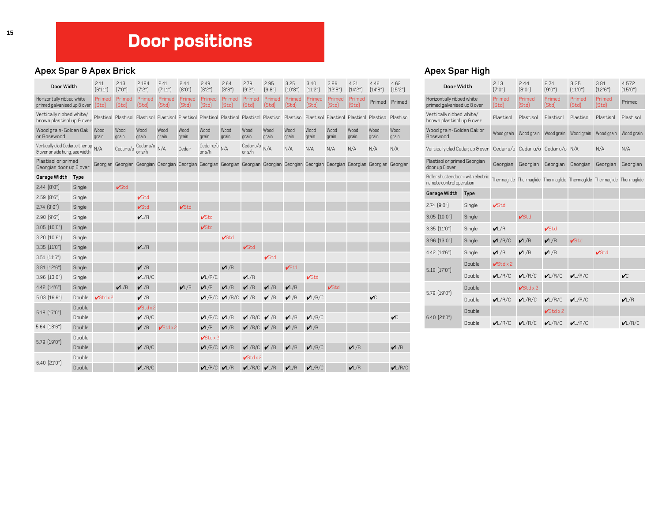# Door positions

### Apex Spar & Apex Brick A person of the A person of the A person of the A person of the A person of the A person of the A person of the A person of the A person of the A person of the A person of the A person of the A perso

| Door Width                                                         |        | 2.11<br>(6'11'') | 2.13<br>(7'0'') | 2.184<br>(7'2'')                                                                                                                                              | 2.41<br>[7'11"  | 2.44<br>(8.0)   | 2.49<br>(8'2")                 | 2.64<br>[8'8''] | 2.79<br>(9'2")               | 2.95<br>(9'8'') | 3.25<br>(10'8") | 3.40<br>[11'2''] | 3.86<br>(12'8'') | 4.31<br>[14'2"] | 4.46<br>(14'8'') | 4.62<br>(15'2") |
|--------------------------------------------------------------------|--------|------------------|-----------------|---------------------------------------------------------------------------------------------------------------------------------------------------------------|-----------------|-----------------|--------------------------------|-----------------|------------------------------|-----------------|-----------------|------------------|------------------|-----------------|------------------|-----------------|
| Horizontally ribbed white<br>primed galvanised up & over           |        | Primed<br>[Std]  | Primed<br>[Std] | Primed<br>[Std]                                                                                                                                               | Primed<br>[Std] | Primed<br>[Std] | Primed<br>[Std]                | Primed<br>[Std] | Primed<br>[Std]              | Primed<br>[Std] | Primed<br>[Std] | Primed<br>[Std]  | Primed<br>[Std]  | Primed<br>[Std] | Primed           | Primed          |
| Vertically ribbed white/<br>brown plastisol up & over              |        |                  |                 | Plastisol Plastisol Plastisol Plastisol Plastisol Plastisol Plastisol Plastisol Plastisol Plastisol Plastisol Plastisol Plastisol Plastisol Plastiso Plastiso |                 |                 |                                |                 |                              |                 |                 |                  |                  |                 |                  |                 |
| Wood grain-Golden Oak<br>or Rosewood                               |        | Wood<br>grain    | Wood<br>grain   | Wood<br>grain                                                                                                                                                 | Wood<br>grain   | Wood<br>grain   | Wood<br>grain                  | Wood<br>grain   | Wood<br>grain                | Wood<br>grain   | Wood<br>grain   | Wood<br>grain    | Wood<br>grain    | Wood<br>grain   | Wood<br>grain    | Wood<br>grain   |
| Vertically clad Cedar, either up<br>& over or side hung, see width |        | N/A              | Cedar u/o       | Cedaru/o<br>or s/h                                                                                                                                            | N/A             | Cedar           | Cedar $u/o$ $_{N/A}$<br>or s/h |                 | Cedar u/o<br>or $s/h$        | N/A             | N/A             | N/A              | N/A              | N/A             | N/A              | N/A             |
| Plastisol or primed<br>Georgian door up & over                     |        |                  |                 | Georgian Georgian Georgian Georgian Georgian Georgian Georgian Georgian Georgian Georgian Georgian Georgian Georgian Georgian Georgian                        |                 |                 |                                |                 |                              |                 |                 |                  |                  |                 |                  |                 |
| Garage Width Type                                                  |        |                  |                 |                                                                                                                                                               |                 |                 |                                |                 |                              |                 |                 |                  |                  |                 |                  |                 |
| $2.44$ $(8'0'')$                                                   | Single |                  | $\sqrt{5}td$    |                                                                                                                                                               |                 |                 |                                |                 |                              |                 |                 |                  |                  |                 |                  |                 |
| $2.59$ $(8.6)$                                                     | Single |                  |                 | $\sqrt{5}td$                                                                                                                                                  |                 |                 |                                |                 |                              |                 |                 |                  |                  |                 |                  |                 |
| $2.74$ $(9'0'')$                                                   | Single |                  |                 | $\sqrt{5}td$                                                                                                                                                  |                 | $\sqrt{5}td$    |                                |                 |                              |                 |                 |                  |                  |                 |                  |                 |
| $2.90$ $(9'6'')$                                                   | Single |                  |                 | VL/R                                                                                                                                                          |                 |                 | $\sqrt{5}td$                   |                 |                              |                 |                 |                  |                  |                 |                  |                 |
| $3.05$ $(10'0'')$                                                  | Single |                  |                 |                                                                                                                                                               |                 |                 | $\sqrt{5}td$                   |                 |                              |                 |                 |                  |                  |                 |                  |                 |
| $3.20$ $(10'6'')$                                                  | Single |                  |                 |                                                                                                                                                               |                 |                 |                                | $\sqrt{5}td$    |                              |                 |                 |                  |                  |                 |                  |                 |
| $3.35$ $(11'0'')$                                                  | Single |                  |                 | VLR                                                                                                                                                           |                 |                 |                                |                 | $\sqrt{\text{Std}}$          |                 |                 |                  |                  |                 |                  |                 |
| $3.51$ $(11'6'')$                                                  | Single |                  |                 |                                                                                                                                                               |                 |                 |                                |                 |                              | $\sqrt{5}td$    |                 |                  |                  |                 |                  |                 |
| $3.81$ $(12'6'')$                                                  | Single |                  |                 | VLR                                                                                                                                                           |                 |                 |                                | VL/R            |                              |                 | $\sqrt{5}td$    |                  |                  |                 |                  |                 |
| $3.96$ $(13'0'')$                                                  | Single |                  |                 | L/R/C                                                                                                                                                         |                 |                 | VL/R/C                         |                 | VLR                          |                 |                 | $\sqrt{5}td$     |                  |                 |                  |                 |
| $4.42$ $[14'6'']$                                                  | Single |                  | VL/R            | VL/R                                                                                                                                                          |                 | VL/R            | VL/R                           | VL/R            | VL/R                         | VL/R            | VL/R            |                  | $\sqrt{5}td$     |                 |                  |                 |
| $5.03$ $(16'6'')$                                                  | Double | $V$ Stdx2        |                 | VL/R                                                                                                                                                          |                 |                 | $\nu L/R/C$                    | $\nu L/R/C$     | VL/R                         | VL/R            | VL/R            | $\nu L/R/C$      |                  |                 | $\sqrt{C}$       |                 |
| $5.18$ $(17'0'')$                                                  | Double |                  |                 | $\sqrt{3}tdx2$                                                                                                                                                |                 |                 |                                |                 |                              |                 |                 |                  |                  |                 |                  |                 |
|                                                                    | Double |                  |                 | $\nu L/R/C$                                                                                                                                                   |                 |                 | V L/R/C V L/R                  |                 | V L/R/C V L/R                |                 | VL/R            | $\nu L/R/C$      |                  |                 |                  | $\sqrt{C}$      |
| $5.64$ $(18'6'')$                                                  | Double |                  |                 | VL/R                                                                                                                                                          | $\sqrt{5}tdx2$  |                 | VL/R                           | VL/R            | V/L/R/C V/L/R                |                 | VL/R            | VL/R             |                  |                 |                  |                 |
| $5.79$ $(19'0'')$                                                  | Double |                  |                 |                                                                                                                                                               |                 |                 | $\sqrt{5}tdx2$                 |                 |                              |                 |                 |                  |                  |                 |                  |                 |
|                                                                    | Double |                  |                 | $\nu L/R/C$                                                                                                                                                   |                 |                 | V L/R/C V L/R                  |                 | V L/R/C V L/R                |                 | VL/R            | $\nu L/R/C$      |                  | VLR             |                  | VL/R            |
| $6.40$ $(21'0'')$                                                  | Double |                  |                 |                                                                                                                                                               |                 |                 |                                |                 | $\sqrt{\text{Std} \times 2}$ |                 |                 |                  |                  |                 |                  |                 |
|                                                                    | Double |                  |                 | $\nu$ L/R/C                                                                                                                                                   |                 |                 | V L/R/C V L/R                  |                 | V L/R/C V L/R                |                 | VL/R            | $\nu L/R/C$      |                  | VLR             |                  | L/R/C           |

| Door Width                                                      |        | 2.13<br>(7'0'')       | 2.44<br>(8'0'')                                                         | 2.74<br>(9'0'')       | 3.35<br>(11'0'') | 3.81<br>(12'6'') | 4.572<br>(15'0'') |
|-----------------------------------------------------------------|--------|-----------------------|-------------------------------------------------------------------------|-----------------------|------------------|------------------|-------------------|
| Horizontally ribbed white<br>primed galvanised up & over        |        | Primed<br>[Std]       | Primed<br>(Std)                                                         | Primed<br>[Std]       | Primed<br>[Std]  | Primed<br>(Std)  | Primed            |
| Vertically ribbed white/<br>brown plastisol up & over           |        | Plastisol             | Plastisol                                                               | Plastisol             | Plastisol        | Plastisol        | Plastisol         |
| Wood grain-Golden Oak or<br>Rosewood                            |        | Wood grain            | Wood grain                                                              | Wood grain            | Wood grain       | Wood grain       | Wood grain        |
| Vertically clad Cedar, up & over                                |        |                       | Cedar u/o Cedar u/o Cedar u/o N/A                                       |                       |                  | N/A              | N/A               |
| Plastisol or primed Georgian<br>door up & over                  |        | Georgian              | Georgian                                                                | Georgian              | Georgian         | Georgian         | Georgian          |
| Roller shutter door - with electric<br>remote control operation |        |                       | Thermaglide Thermaglide Thermaglide Thermaglide Thermaglide Thermaglide |                       |                  |                  |                   |
| Garage Width                                                    | Type   |                       |                                                                         |                       |                  |                  |                   |
| $2.74$ $(9'0'')$                                                | Single | $\sqrt{5}td$          |                                                                         |                       |                  |                  |                   |
| $3.05$ $(10'0'')$                                               | Single |                       | $\sqrt{5}td$                                                            |                       |                  |                  |                   |
| $3.35$ $(11'0'')$                                               | Single | V L/R                 |                                                                         | $\sqrt{\mathrm{Std}}$ |                  |                  |                   |
| $3.96$ $(13'0'')$                                               | Single | $\nu L/R/C$           | VL/R                                                                    | VL/R                  | $\sqrt{5}td$     |                  |                   |
| 4.42 (14'6")                                                    | Single | VL/R                  | VL/R                                                                    | VL/R                  |                  | $\sqrt{5}td$     |                   |
| $5.18$ $(17'0'')$                                               | Double | $\sqrt{5}td \times 2$ |                                                                         |                       |                  |                  |                   |
|                                                                 | Double | VL/R/C                | L/R/C                                                                   | VL/R/C                | L/R/C            |                  | $\mathcal{V}$ C   |
| 5.79 (19'0")                                                    | Double |                       | $\sqrt{5}td \times 2$                                                   |                       |                  |                  |                   |
|                                                                 | Double | VL/R/C                | VL/R/C                                                                  | VL/R/C                | L/R/C            |                  | VL/R              |
| $6.40$ $[21'0'']$                                               | Double |                       |                                                                         | $\sqrt{5}td \times 2$ |                  |                  |                   |
|                                                                 | Double | L/R/C                 | L/R/C                                                                   | VL/R/C                | L/R/C            |                  | $\nu L/R/C$       |